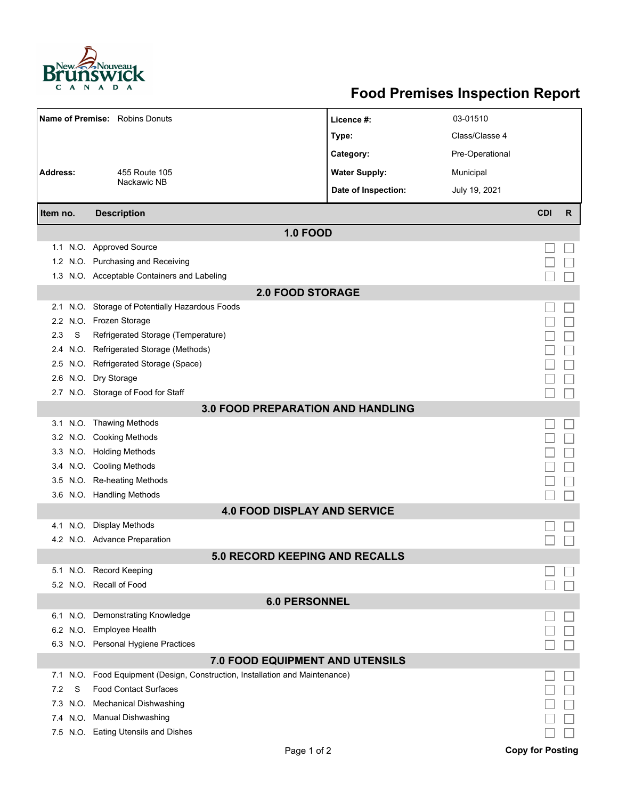

## **Food Premises Inspection Report**

| <b>Name of Premise:</b> Robins Donuts    |                                                                     | Licence #:           | 03-01510        |            |   |  |  |  |  |
|------------------------------------------|---------------------------------------------------------------------|----------------------|-----------------|------------|---|--|--|--|--|
|                                          |                                                                     | Type:                | Class/Classe 4  |            |   |  |  |  |  |
|                                          |                                                                     | Category:            | Pre-Operational |            |   |  |  |  |  |
| <b>Address:</b>                          |                                                                     |                      |                 |            |   |  |  |  |  |
|                                          | 455 Route 105<br>Nackawic NB                                        | <b>Water Supply:</b> | Municipal       |            |   |  |  |  |  |
|                                          |                                                                     | Date of Inspection:  | July 19, 2021   |            |   |  |  |  |  |
| Item no.                                 | <b>Description</b>                                                  |                      |                 | <b>CDI</b> | R |  |  |  |  |
| <b>1.0 FOOD</b>                          |                                                                     |                      |                 |            |   |  |  |  |  |
|                                          | 1.1 N.O. Approved Source                                            |                      |                 |            |   |  |  |  |  |
|                                          | 1.2 N.O. Purchasing and Receiving                                   |                      |                 |            |   |  |  |  |  |
|                                          | 1.3 N.O. Acceptable Containers and Labeling                         |                      |                 |            |   |  |  |  |  |
| <b>2.0 FOOD STORAGE</b>                  |                                                                     |                      |                 |            |   |  |  |  |  |
| 2.1                                      | N.O. Storage of Potentially Hazardous Foods                         |                      |                 |            |   |  |  |  |  |
|                                          | 2.2 N.O. Frozen Storage                                             |                      |                 |            |   |  |  |  |  |
| 2.3<br>S                                 | Refrigerated Storage (Temperature)                                  |                      |                 |            |   |  |  |  |  |
| N.O.<br>2.4                              | Refrigerated Storage (Methods)                                      |                      |                 |            |   |  |  |  |  |
|                                          | 2.5 N.O. Refrigerated Storage (Space)                               |                      |                 |            |   |  |  |  |  |
|                                          | 2.6 N.O. Dry Storage                                                |                      |                 |            |   |  |  |  |  |
|                                          | 2.7 N.O. Storage of Food for Staff                                  |                      |                 |            |   |  |  |  |  |
| <b>3.0 FOOD PREPARATION AND HANDLING</b> |                                                                     |                      |                 |            |   |  |  |  |  |
|                                          | 3.1 N.O. Thawing Methods                                            |                      |                 |            |   |  |  |  |  |
|                                          | 3.2 N.O. Cooking Methods                                            |                      |                 |            |   |  |  |  |  |
|                                          | 3.3 N.O. Holding Methods                                            |                      |                 |            |   |  |  |  |  |
|                                          | 3.4 N.O. Cooling Methods                                            |                      |                 |            |   |  |  |  |  |
|                                          | 3.5 N.O. Re-heating Methods                                         |                      |                 |            |   |  |  |  |  |
|                                          | 3.6 N.O. Handling Methods                                           |                      |                 |            |   |  |  |  |  |
|                                          | <b>4.0 FOOD DISPLAY AND SERVICE</b>                                 |                      |                 |            |   |  |  |  |  |
| 4.1 N.O.                                 | <b>Display Methods</b>                                              |                      |                 |            |   |  |  |  |  |
|                                          | 4.2 N.O. Advance Preparation                                        |                      |                 |            |   |  |  |  |  |
|                                          | <b>5.0 RECORD KEEPING AND RECALLS</b>                               |                      |                 |            |   |  |  |  |  |
|                                          | 5.1 N.O. Record Keeping                                             |                      |                 |            |   |  |  |  |  |
|                                          | 5.2 N.O. Recall of Food                                             |                      |                 |            |   |  |  |  |  |
| <b>6.0 PERSONNEL</b>                     |                                                                     |                      |                 |            |   |  |  |  |  |
|                                          | 6.1 N.O. Demonstrating Knowledge                                    |                      |                 |            |   |  |  |  |  |
|                                          | 6.2 N.O. Employee Health                                            |                      |                 |            |   |  |  |  |  |
|                                          | 6.3 N.O. Personal Hygiene Practices                                 |                      |                 |            |   |  |  |  |  |
| <b>7.0 FOOD EQUIPMENT AND UTENSILS</b>   |                                                                     |                      |                 |            |   |  |  |  |  |
| N.O.<br>7.1                              | Food Equipment (Design, Construction, Installation and Maintenance) |                      |                 |            |   |  |  |  |  |
| 7.2<br>S                                 | <b>Food Contact Surfaces</b>                                        |                      |                 |            |   |  |  |  |  |
| 7.3<br>N.O.                              | <b>Mechanical Dishwashing</b>                                       |                      |                 |            |   |  |  |  |  |
|                                          | 7.4 N.O. Manual Dishwashing                                         |                      |                 |            |   |  |  |  |  |
|                                          | 7.5 N.O. Eating Utensils and Dishes                                 |                      |                 |            |   |  |  |  |  |